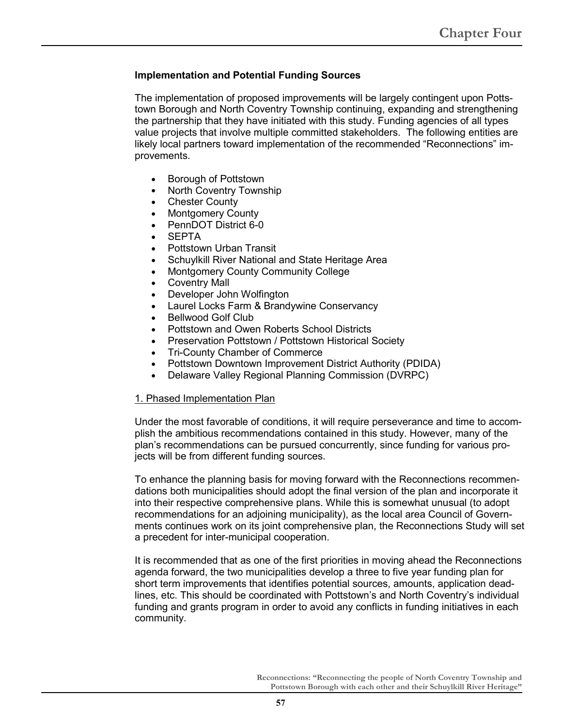## **Implementation and Potential Funding Sources**

The implementation of proposed improvements will be largely contingent upon Pottstown Borough and North Coventry Township continuing, expanding and strengthening the partnership that they have initiated with this study. Funding agencies of all types value projects that involve multiple committed stakeholders. The following entities are likely local partners toward implementation of the recommended "Reconnections" improvements.

- Borough of Pottstown
- North Coventry Township
- **Chester County**
- Montgomery County
- PennDOT District 6-0
- **SEPTA**
- Pottstown Urban Transit
- Schuylkill River National and State Heritage Area
- Montgomery County Community College
- **Coventry Mall**
- Developer John Wolfington
- Laurel Locks Farm & Brandywine Conservancy
- Bellwood Golf Club
- Pottstown and Owen Roberts School Districts
- Preservation Pottstown / Pottstown Historical Society
- Tri-County Chamber of Commerce
- Pottstown Downtown Improvement District Authority (PDIDA)
- Delaware Valley Regional Planning Commission (DVRPC)

#### 1. Phased Implementation Plan

Under the most favorable of conditions, it will require perseverance and time to accomplish the ambitious recommendations contained in this study. However, many of the plan's recommendations can be pursued concurrently, since funding for various projects will be from different funding sources.

To enhance the planning basis for moving forward with the Reconnections recommendations both municipalities should adopt the final version of the plan and incorporate it into their respective comprehensive plans. While this is somewhat unusual (to adopt recommendations for an adjoining municipality), as the local area Council of Governments continues work on its joint comprehensive plan, the Reconnections Study will set a precedent for inter-municipal cooperation.

It is recommended that as one of the first priorities in moving ahead the Reconnections agenda forward, the two municipalities develop a three to five year funding plan for short term improvements that identifies potential sources, amounts, application deadlines, etc. This should be coordinated with Pottstown's and North Coventry's individual funding and grants program in order to avoid any conflicts in funding initiatives in each community.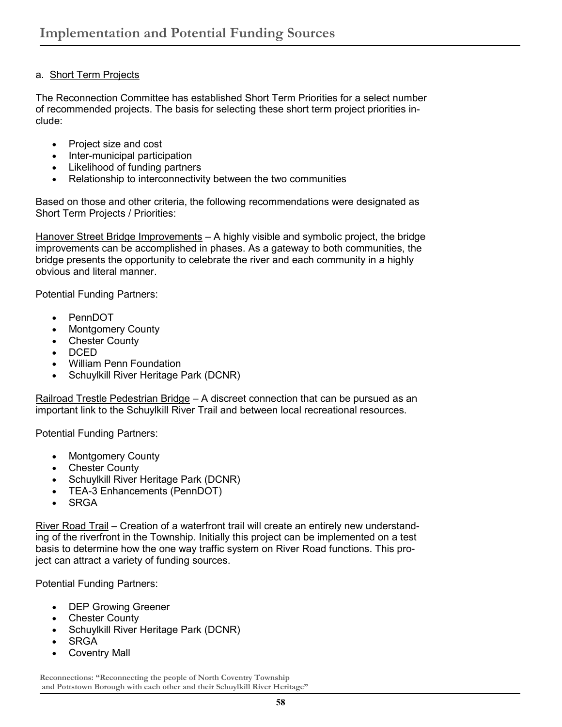# a. Short Term Projects

The Reconnection Committee has established Short Term Priorities for a select number of recommended projects. The basis for selecting these short term project priorities include:

- Project size and cost
- Inter-municipal participation
- Likelihood of funding partners
- Relationship to interconnectivity between the two communities

Based on those and other criteria, the following recommendations were designated as Short Term Projects / Priorities:

Hanover Street Bridge Improvements - A highly visible and symbolic project, the bridge improvements can be accomplished in phases. As a gateway to both communities, the bridge presents the opportunity to celebrate the river and each community in a highly obvious and literal manner.

Potential Funding Partners:

- PennDOT
- **Montgomery County**
- Chester County
- DCED
- William Penn Foundation
- Schuylkill River Heritage Park (DCNR)

Railroad Trestle Pedestrian Bridge - A discreet connection that can be pursued as an important link to the Schuylkill River Trail and between local recreational resources.

Potential Funding Partners:

- Montgomery County
- Chester County
- Schuylkill River Heritage Park (DCNR)
- TEA-3 Enhancements (PennDOT)
- **SRGA**

River Road Trail - Creation of a waterfront trail will create an entirely new understanding of the riverfront in the Township. Initially this project can be implemented on a test basis to determine how the one way traffic system on River Road functions. This project can attract a variety of funding sources.

Potential Funding Partners:

- DEP Growing Greener
- Chester County
- Schuylkill River Heritage Park (DCNR)
- SRGA
- Coventry Mall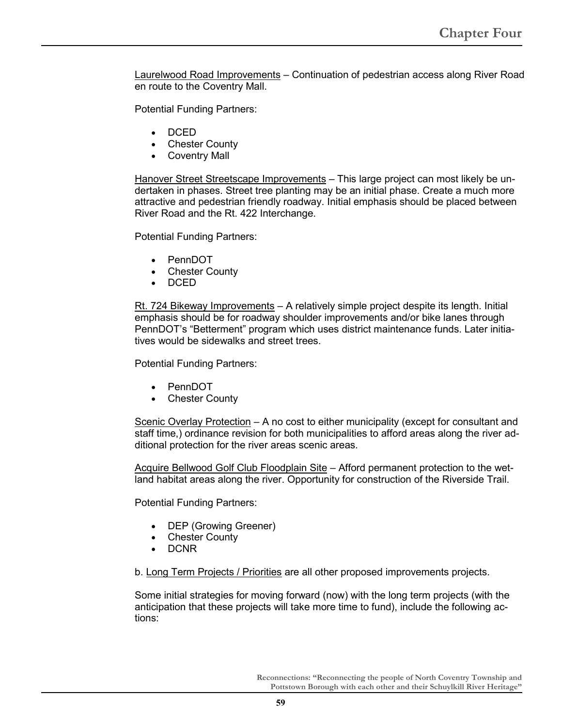Laurelwood Road Improvements – Continuation of pedestrian access along River Road en route to the Coventry Mall.

Potential Funding Partners:

- DCED
- **Chester County**
- **Coventry Mall**

Hanover Street Streetscape Improvements - This large project can most likely be undertaken in phases. Street tree planting may be an initial phase. Create a much more attractive and pedestrian friendly roadway. Initial emphasis should be placed between River Road and the Rt. 422 Interchange.

Potential Funding Partners:

- PennDOT
- Chester County
- DCED

Rt. 724 Bikeway Improvements – A relatively simple project despite its length. Initial emphasis should be for roadway shoulder improvements and/or bike lanes through PennDOT's "Betterment" program which uses district maintenance funds. Later initiatives would be sidewalks and street trees.

Potential Funding Partners:

- PennDOT
- **Chester County**

Scenic Overlay Protection – A no cost to either municipality (except for consultant and staff time,) ordinance revision for both municipalities to afford areas along the river additional protection for the river areas scenic areas.

Acquire Bellwood Golf Club Floodplain Site – Afford permanent protection to the wetland habitat areas along the river. Opportunity for construction of the Riverside Trail.

Potential Funding Partners:

- DEP (Growing Greener)
- **Chester County**
- DCNR

b. Long Term Projects / Priorities are all other proposed improvements projects.

Some initial strategies for moving forward (now) with the long term projects (with the anticipation that these projects will take more time to fund), include the following actions: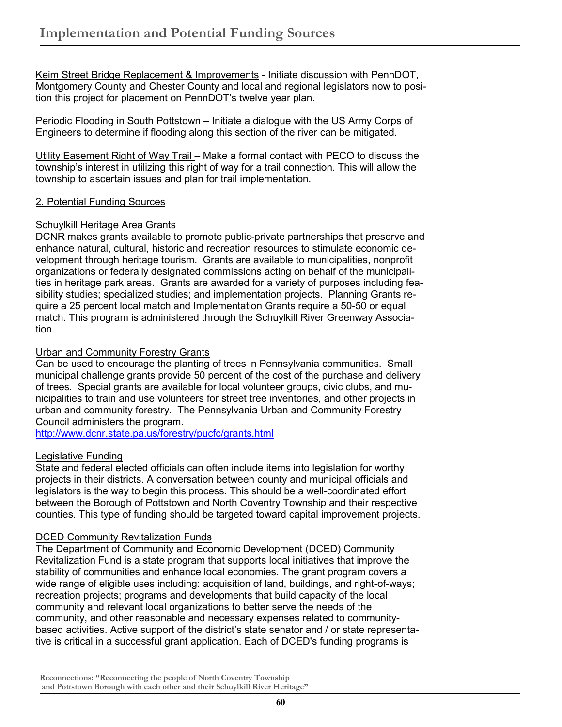Keim Street Bridge Replacement & Improvements - Initiate discussion with PennDOT, Montgomery County and Chester County and local and regional legislators now to position this project for placement on PennDOT's twelve year plan.

Periodic Flooding in South Pottstown - Initiate a dialogue with the US Army Corps of Engineers to determine if flooding along this section of the river can be mitigated.

Utility Easement Right of Way Trail – Make a formal contact with PECO to discuss the township's interest in utilizing this right of way for a trail connection. This will allow the township to ascertain issues and plan for trail implementation.

## 2. Potential Funding Sources

# Schuylkill Heritage Area Grants

DCNR makes grants available to promote public-private partnerships that preserve and enhance natural, cultural, historic and recreation resources to stimulate economic development through heritage tourism. Grants are available to municipalities, nonprofit organizations or federally designated commissions acting on behalf of the municipalities in heritage park areas. Grants are awarded for a variety of purposes including feasibility studies; specialized studies; and implementation projects. Planning Grants require a 25 percent local match and Implementation Grants require a 50-50 or equal match. This program is administered through the Schuylkill River Greenway Association.

# Urban and Community Forestry Grants

Can be used to encourage the planting of trees in Pennsylvania communities. Small municipal challenge grants provide 50 percent of the cost of the purchase and delivery of trees. Special grants are available for local volunteer groups, civic clubs, and municipalities to train and use volunteers for street tree inventories, and other projects in urban and community forestry. The Pennsylvania Urban and Community Forestry Council administers the program.

http://www.dcnr.state.pa.us/forestry/pucfc/grants.html

## Legislative Funding

State and federal elected officials can often include items into legislation for worthy projects in their districts. A conversation between county and municipal officials and legislators is the way to begin this process. This should be a well-coordinated effort between the Borough of Pottstown and North Coventry Township and their respective counties. This type of funding should be targeted toward capital improvement projects.

# **DCED Community Revitalization Funds**

The Department of Community and Economic Development (DCED) Community Revitalization Fund is a state program that supports local initiatives that improve the stability of communities and enhance local economies. The grant program covers a wide range of eligible uses including: acquisition of land, buildings, and right-of-ways; recreation projects; programs and developments that build capacity of the local community and relevant local organizations to better serve the needs of the community, and other reasonable and necessary expenses related to communitybased activities. Active support of the district's state senator and / or state representative is critical in a successful grant application. Each of DCED's funding programs is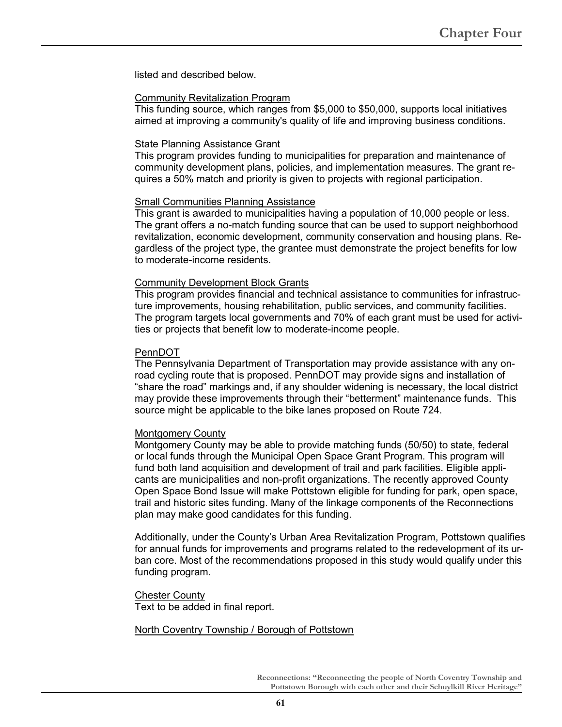listed and described below.

#### Community Revitalization Program

This funding source, which ranges from \$5,000 to \$50,000, supports local initiatives aimed at improving a community's quality of life and improving business conditions.

#### State Planning Assistance Grant

This program provides funding to municipalities for preparation and maintenance of community development plans, policies, and implementation measures. The grant requires a 50% match and priority is given to projects with regional participation.

#### Small Communities Planning Assistance

This grant is awarded to municipalities having a population of 10,000 people or less. The grant offers a no-match funding source that can be used to support neighborhood revitalization, economic development, community conservation and housing plans. Regardless of the project type, the grantee must demonstrate the project benefits for low to moderate-income residents.

#### Community Development Block Grants

This program provides financial and technical assistance to communities for infrastructure improvements, housing rehabilitation, public services, and community facilities. The program targets local governments and 70% of each grant must be used for activities or projects that benefit low to moderate-income people.

#### PennDOT

The Pennsylvania Department of Transportation may provide assistance with any onroad cycling route that is proposed. PennDOT may provide signs and installation of "share the road" markings and, if any shoulder widening is necessary, the local district may provide these improvements through their "betterment" maintenance funds. This source might be applicable to the bike lanes proposed on Route 724.

#### Montgomery County

Montgomery County may be able to provide matching funds (50/50) to state, federal or local funds through the Municipal Open Space Grant Program. This program will fund both land acquisition and development of trail and park facilities. Eligible applicants are municipalities and non-profit organizations. The recently approved County Open Space Bond Issue will make Pottstown eligible for funding for park, open space, trail and historic sites funding. Many of the linkage components of the Reconnections plan may make good candidates for this funding.

Additionally, under the County's Urban Area Revitalization Program, Pottstown qualifies for annual funds for improvements and programs related to the redevelopment of its urban core. Most of the recommendations proposed in this study would qualify under this funding program.

# **Chester County**

Text to be added in final report.

#### North Coventry Township / Borough of Pottstown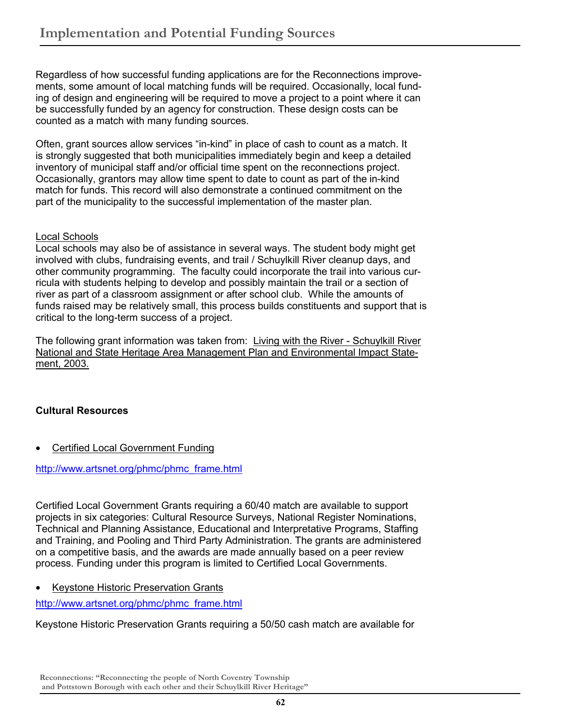Regardless of how successful funding applications are for the Reconnections improvements, some amount of local matching funds will be required. Occasionally, local funding of design and engineering will be required to move a project to a point where it can be successfully funded by an agency for construction. These design costs can be counted as a match with many funding sources.

Often, grant sources allow services "in-kind" in place of cash to count as a match. It is strongly suggested that both municipalities immediately begin and keep a detailed inventory of municipal staff and/or official time spent on the reconnections project. Occasionally, grantors may allow time spent to date to count as part of the in-kind match for funds. This record will also demonstrate a continued commitment on the part of the municipality to the successful implementation of the master plan.

# Local Schools

Local schools may also be of assistance in several ways. The student body might get involved with clubs, fundraising events, and trail / Schuylkill River cleanup days, and other community programming. The faculty could incorporate the trail into various curricula with students helping to develop and possibly maintain the trail or a section of river as part of a classroom assignment or after school club. While the amounts of funds raised may be relatively small, this process builds constituents and support that is critical to the long-term success of a project.

The following grant information was taken from: Living with the River - Schuylkill River National and State Heritage Area Management Plan and Environmental Impact Statement, 2003.

# **Cultural Resources**

**Certified Local Government Funding** 

http://www.artsnet.org/phmc/phmc\_frame.html

Certified Local Government Grants requiring a 60/40 match are available to support projects in six categories: Cultural Resource Surveys, National Register Nominations, Technical and Planning Assistance, Educational and Interpretative Programs, Staffing and Training, and Pooling and Third Party Administration. The grants are administered on a competitive basis, and the awards are made annually based on a peer review process. Funding under this program is limited to Certified Local Governments.

• Keystone Historic Preservation Grants

http://www.artsnet.org/phmc/phmc\_frame.html

Keystone Historic Preservation Grants requiring a 50/50 cash match are available for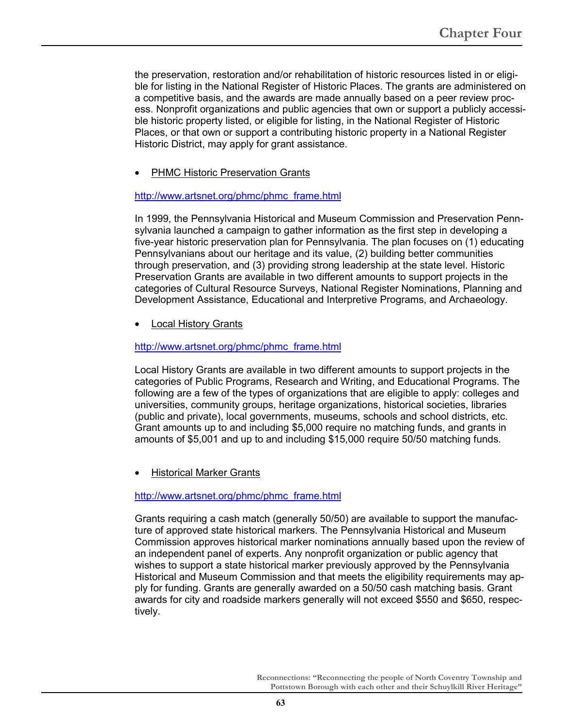the preservation, restoration and/or rehabilitation of historic resources listed in or eligible for listing in the National Register of Historic Places. The grants are administered on a competitive basis, and the awards are made annually based on a peer review process. Nonprofit organizations and public agencies that own or support a publicly accessible historic property listed, or eligible for listing, in the National Register of Historic Places, or that own or support a contributing historic property in a National Register Historic District, may apply for grant assistance.

PHMC Historic Preservation Grants

## http://www.artsnet.org/phmc/phmc\_frame.html

In 1999, the Pennsylvania Historical and Museum Commission and Preservation Pennsylvania launched a campaign to gather information as the first step in developing a five-year historic preservation plan for Pennsylvania. The plan focuses on (1) educating Pennsylvanians about our heritage and its value, (2) building better communities through preservation, and (3) providing strong leadership at the state level. Historic Preservation Grants are available in two different amounts to support projects in the categories of Cultural Resource Surveys, National Register Nominations, Planning and Development Assistance, Educational and Interpretive Programs, and Archaeology.

• Local History Grants

## http://www.artsnet.org/phmc/phmc\_frame.html

Local History Grants are available in two different amounts to support projects in the categories of Public Programs, Research and Writing, and Educational Programs. The following are a few of the types of organizations that are eligible to apply: colleges and universities, community groups, heritage organizations, historical societies, libraries (public and private), local governments, museums, schools and school districts, etc. Grant amounts up to and including \$5,000 require no matching funds, and grants in amounts of \$5,001 and up to and including \$15,000 require 50/50 matching funds.

**Historical Marker Grants** 

http://www.artsnet.org/phmc/phmc\_frame.html

Grants requiring a cash match (generally 50/50) are available to support the manufacture of approved state historical markers. The Pennsylvania Historical and Museum Commission approves historical marker nominations annually based upon the review of an independent panel of experts. Any nonprofit organization or public agency that wishes to support a state historical marker previously approved by the Pennsylvania Historical and Museum Commission and that meets the eligibility requirements may apply for funding. Grants are generally awarded on a 50/50 cash matching basis. Grant awards for city and roadside markers generally will not exceed \$550 and \$650, respectively.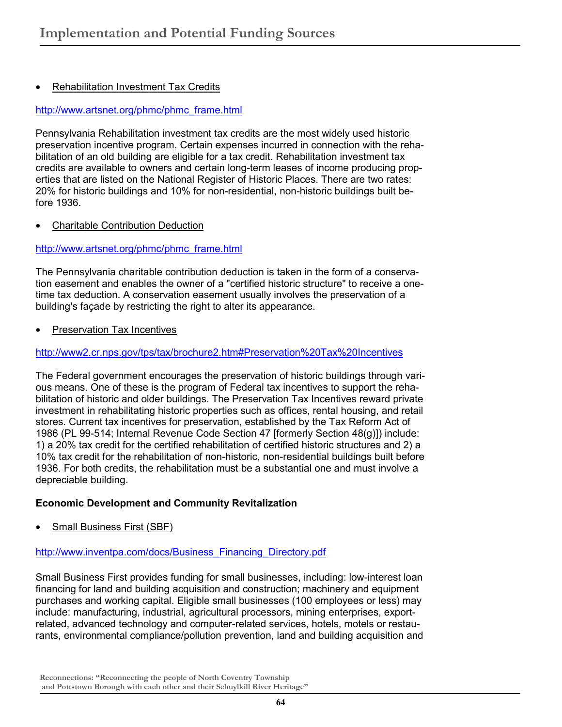# • Rehabilitation Investment Tax Credits

## http://www.artsnet.org/phmc/phmc\_frame.html

Pennsylvania Rehabilitation investment tax credits are the most widely used historic preservation incentive program. Certain expenses incurred in connection with the rehabilitation of an old building are eligible for a tax credit. Rehabilitation investment tax credits are available to owners and certain long-term leases of income producing properties that are listed on the National Register of Historic Places. There are two rates: 20% for historic buildings and 10% for non-residential, non-historic buildings built before 1936.

• Charitable Contribution Deduction

## http://www.artsnet.org/phmc/phmc\_frame.html

The Pennsylvania charitable contribution deduction is taken in the form of a conservation easement and enables the owner of a "certified historic structure" to receive a onetime tax deduction. A conservation easement usually involves the preservation of a building's façade by restricting the right to alter its appearance.

• Preservation Tax Incentives

## http://www2.cr.nps.gov/tps/tax/brochure2.htm#Preservation%20Tax%20Incentives

The Federal government encourages the preservation of historic buildings through various means. One of these is the program of Federal tax incentives to support the rehabilitation of historic and older buildings. The Preservation Tax Incentives reward private investment in rehabilitating historic properties such as offices, rental housing, and retail stores. Current tax incentives for preservation, established by the Tax Reform Act of 1986 (PL 99-514; Internal Revenue Code Section 47 [formerly Section 48(g)]) include: 1) a 20% tax credit for the certified rehabilitation of certified historic structures and 2) a 10% tax credit for the rehabilitation of non-historic, non-residential buildings built before 1936. For both credits, the rehabilitation must be a substantial one and must involve a depreciable building.

## **Economic Development and Community Revitalization**

Small Business First (SBF)

#### http://www.inventpa.com/docs/Business\_Financing\_Directory.pdf

Small Business First provides funding for small businesses, including: low-interest loan financing for land and building acquisition and construction; machinery and equipment purchases and working capital. Eligible small businesses (100 employees or less) may include: manufacturing, industrial, agricultural processors, mining enterprises, exportrelated, advanced technology and computer-related services, hotels, motels or restaurants, environmental compliance/pollution prevention, land and building acquisition and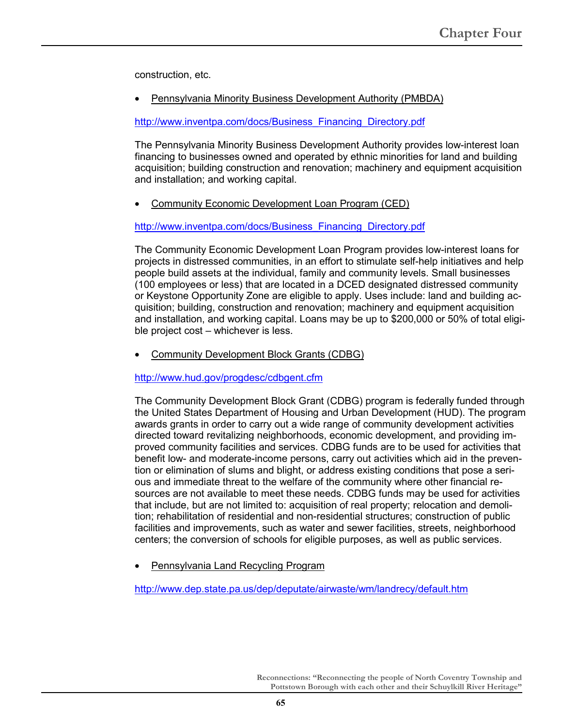construction, etc.

• Pennsylvania Minority Business Development Authority (PMBDA)

http://www.inventpa.com/docs/Business\_Financing\_Directory.pdf

The Pennsylvania Minority Business Development Authority provides low-interest loan financing to businesses owned and operated by ethnic minorities for land and building acquisition; building construction and renovation; machinery and equipment acquisition and installation; and working capital.

• Community Economic Development Loan Program (CED)

http://www.inventpa.com/docs/Business\_Financing\_Directory.pdf

The Community Economic Development Loan Program provides low-interest loans for projects in distressed communities, in an effort to stimulate self-help initiatives and help people build assets at the individual, family and community levels. Small businesses (100 employees or less) that are located in a DCED designated distressed community or Keystone Opportunity Zone are eligible to apply. Uses include: land and building acquisition; building, construction and renovation; machinery and equipment acquisition and installation, and working capital. Loans may be up to \$200,000 or 50% of total eligible project cost – whichever is less.

• Community Development Block Grants (CDBG)

http://www.hud.gov/progdesc/cdbgent.cfm

The Community Development Block Grant (CDBG) program is federally funded through the United States Department of Housing and Urban Development (HUD). The program awards grants in order to carry out a wide range of community development activities directed toward revitalizing neighborhoods, economic development, and providing improved community facilities and services. CDBG funds are to be used for activities that benefit low- and moderate-income persons, carry out activities which aid in the prevention or elimination of slums and blight, or address existing conditions that pose a serious and immediate threat to the welfare of the community where other financial resources are not available to meet these needs. CDBG funds may be used for activities that include, but are not limited to: acquisition of real property; relocation and demolition; rehabilitation of residential and non-residential structures; construction of public facilities and improvements, such as water and sewer facilities, streets, neighborhood centers; the conversion of schools for eligible purposes, as well as public services.

• Pennsylvania Land Recycling Program

http://www.dep.state.pa.us/dep/deputate/airwaste/wm/landrecy/default.htm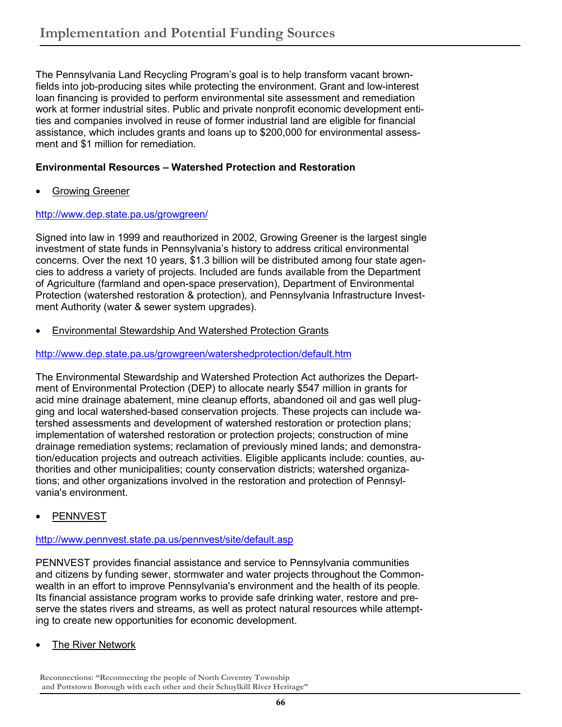The Pennsylvania Land Recycling Program's goal is to help transform vacant brownfields into job-producing sites while protecting the environment. Grant and low-interest loan financing is provided to perform environmental site assessment and remediation work at former industrial sites. Public and private nonprofit economic development entities and companies involved in reuse of former industrial land are eligible for financial assistance, which includes grants and loans up to \$200,000 for environmental assessment and \$1 million for remediation.

# **Environmental Resources – Watershed Protection and Restoration**

• Growing Greener

# http://www.dep.state.pa.us/growgreen/

Signed into law in 1999 and reauthorized in 2002, Growing Greener is the largest single investment of state funds in Pennsylvania's history to address critical environmental concerns. Over the next 10 years, \$1.3 billion will be distributed among four state agencies to address a variety of projects. Included are funds available from the Department of Agriculture (farmland and open-space preservation), Department of Environmental Protection (watershed restoration & protection), and Pennsylvania Infrastructure Investment Authority (water & sewer system upgrades).

• Environmental Stewardship And Watershed Protection Grants

# http://www.dep.state.pa.us/growgreen/watershedprotection/default.htm

The Environmental Stewardship and Watershed Protection Act authorizes the Department of Environmental Protection (DEP) to allocate nearly \$547 million in grants for acid mine drainage abatement, mine cleanup efforts, abandoned oil and gas well plugging and local watershed-based conservation projects. These projects can include watershed assessments and development of watershed restoration or protection plans; implementation of watershed restoration or protection projects; construction of mine drainage remediation systems; reclamation of previously mined lands; and demonstration/education projects and outreach activities. Eligible applicants include: counties, authorities and other municipalities; county conservation districts; watershed organizations; and other organizations involved in the restoration and protection of Pennsylvania's environment.

**PENNVEST** 

# http://www.pennvest.state.pa.us/pennvest/site/default.asp

PENNVEST provides financial assistance and service to Pennsylvania communities and citizens by funding sewer, stormwater and water projects throughout the Commonwealth in an effort to improve Pennsylvania's environment and the health of its people. Its financial assistance program works to provide safe drinking water, restore and preserve the states rivers and streams, as well as protect natural resources while attempting to create new opportunities for economic development.

**The River Network**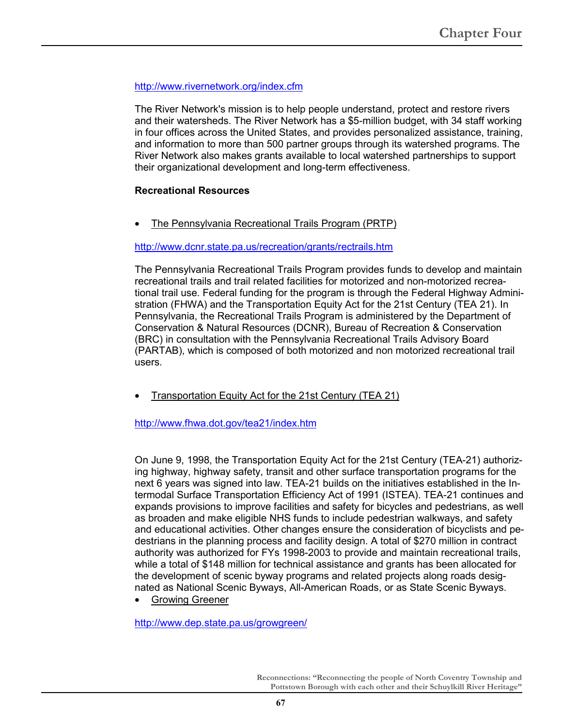# http://www.rivernetwork.org/index.cfm

The River Network's mission is to help people understand, protect and restore rivers and their watersheds. The River Network has a \$5-million budget, with 34 staff working in four offices across the United States, and provides personalized assistance, training, and information to more than 500 partner groups through its watershed programs. The River Network also makes grants available to local watershed partnerships to support their organizational development and long-term effectiveness.

## **Recreational Resources**

• The Pennsylvania Recreational Trails Program (PRTP)

## http://www.dcnr.state.pa.us/recreation/grants/rectrails.htm

The Pennsylvania Recreational Trails Program provides funds to develop and maintain recreational trails and trail related facilities for motorized and non-motorized recreational trail use. Federal funding for the program is through the Federal Highway Administration (FHWA) and the Transportation Equity Act for the 21st Century (TEA 21). In Pennsylvania, the Recreational Trails Program is administered by the Department of Conservation & Natural Resources (DCNR), Bureau of Recreation & Conservation (BRC) in consultation with the Pennsylvania Recreational Trails Advisory Board (PARTAB), which is composed of both motorized and non motorized recreational trail users.

**Transportation Equity Act for the 21st Century (TEA 21)** 

http://www.fhwa.dot.gov/tea21/index.htm

On June 9, 1998, the Transportation Equity Act for the 21st Century (TEA-21) authorizing highway, highway safety, transit and other surface transportation programs for the next 6 years was signed into law. TEA-21 builds on the initiatives established in the Intermodal Surface Transportation Efficiency Act of 1991 (ISTEA). TEA-21 continues and expands provisions to improve facilities and safety for bicycles and pedestrians, as well as broaden and make eligible NHS funds to include pedestrian walkways, and safety and educational activities. Other changes ensure the consideration of bicyclists and pedestrians in the planning process and facility design. A total of \$270 million in contract authority was authorized for FYs 1998-2003 to provide and maintain recreational trails, while a total of \$148 million for technical assistance and grants has been allocated for the development of scenic byway programs and related projects along roads designated as National Scenic Byways, All-American Roads, or as State Scenic Byways.

• Growing Greener

http://www.dep.state.pa.us/growgreen/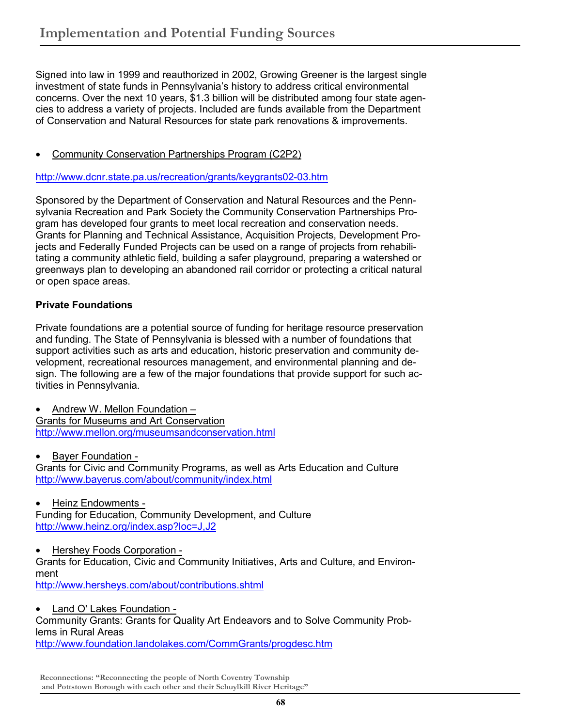Signed into law in 1999 and reauthorized in 2002, Growing Greener is the largest single investment of state funds in Pennsylvania's history to address critical environmental concerns. Over the next 10 years, \$1.3 billion will be distributed among four state agencies to address a variety of projects. Included are funds available from the Department of Conservation and Natural Resources for state park renovations & improvements.

• Community Conservation Partnerships Program (C2P2)

http://www.dcnr.state.pa.us/recreation/grants/keygrants02-03.htm

Sponsored by the Department of Conservation and Natural Resources and the Pennsylvania Recreation and Park Society the Community Conservation Partnerships Program has developed four grants to meet local recreation and conservation needs. Grants for Planning and Technical Assistance, Acquisition Projects, Development Projects and Federally Funded Projects can be used on a range of projects from rehabilitating a community athletic field, building a safer playground, preparing a watershed or greenways plan to developing an abandoned rail corridor or protecting a critical natural or open space areas.

# **Private Foundations**

Private foundations are a potential source of funding for heritage resource preservation and funding. The State of Pennsylvania is blessed with a number of foundations that support activities such as arts and education, historic preservation and community development, recreational resources management, and environmental planning and design. The following are a few of the major foundations that provide support for such activities in Pennsylvania.

• Andrew W. Mellon Foundation – Grants for Museums and Art Conservation http://www.mellon.org/museumsandconservation.html

• Bayer Foundation -

Grants for Civic and Community Programs, as well as Arts Education and Culture http://www.bayerus.com/about/community/index.html

• Heinz Endowments -

Funding for Education, Community Development, and Culture http://www.heinz.org/index.asp?loc=J,J2

• Hershey Foods Corporation -

Grants for Education, Civic and Community Initiatives, Arts and Culture, and Environment

http://www.hersheys.com/about/contributions.shtml

• Land O' Lakes Foundation -

Community Grants: Grants for Quality Art Endeavors and to Solve Community Problems in Rural Areas

http://www.foundation.landolakes.com/CommGrants/progdesc.htm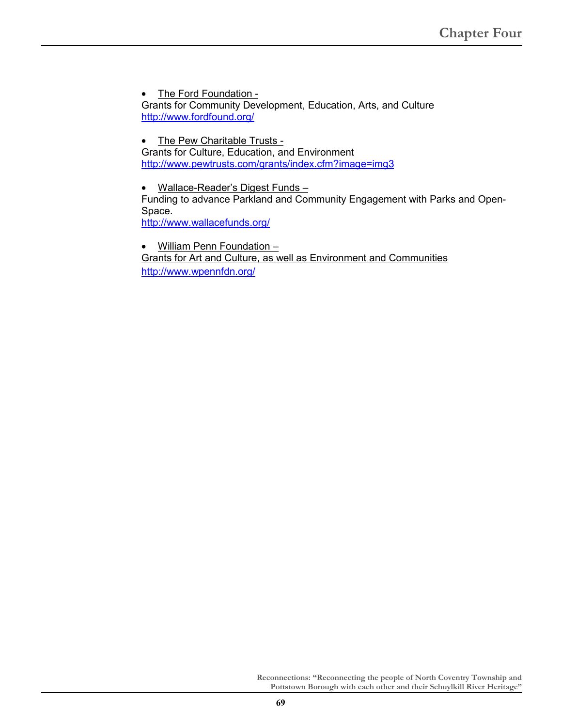• The Ford Foundation -Grants for Community Development, Education, Arts, and Culture http://www.fordfound.org/

• The Pew Charitable Trusts -Grants for Culture, Education, and Environment http://www.pewtrusts.com/grants/index.cfm?image=img3

• Wallace-Reader's Digest Funds – Funding to advance Parkland and Community Engagement with Parks and Open-Space. http://www.wallacefunds.org/

• William Penn Foundation – Grants for Art and Culture, as well as Environment and Communities http://www.wpennfdn.org/